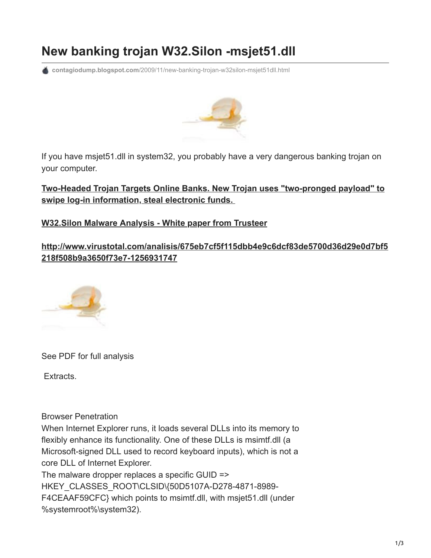## **New banking trojan W32.Silon -msjet51.dll**

**contagiodump.blogspot.com**[/2009/11/new-banking-trojan-w32silon-msjet51dll.html](http://contagiodump.blogspot.com/2009/11/new-banking-trojan-w32silon-msjet51dll.html)



If you have msjet51.dll in system32, you probably have a very dangerous banking trojan on your computer.

**[Two-Headed Trojan Targets Online Banks. New Trojan uses "two-pronged payload" to](http://www.internetnews.com/security/article.php/3846186/TwoHeaded+Trojan+Targets+Online+Banks.htm) swipe log-in information, steal electronic funds.** 

## **[W32.Silon Malware Analysis - White paper from Trusteer](http://www.trusteer.com/sites/default/files/Silon_Analysis_v5_PR-MBfinal.pdf)**

**[http://www.virustotal.com/analisis/675eb7cf5f115dbb4e9c6dcf83de5700d36d29e0d7bf5](http://www.virustotal.com/analisis/675eb7cf5f115dbb4e9c6dcf83de5700d36d29e0d7bf5218f508b9a3650f73e7-1256931747) 218f508b9a3650f73e7-1256931747**



See PDF for full analysis

Extracts.

Browser Penetration

When Internet Explorer runs, it loads several DLLs into its memory to flexibly enhance its functionality. One of these DLLs is msimtf.dll (a Microsoft-signed DLL used to record keyboard inputs), which is not a core DLL of Internet Explorer. The malware dropper replaces a specific GUID =>

HKEY\_CLASSES\_ROOT\CLSID\{50D5107A-D278-4871-8989-F4CEAAF59CFC} which points to msimtf.dll, with msjet51.dll (under %systemroot%\system32).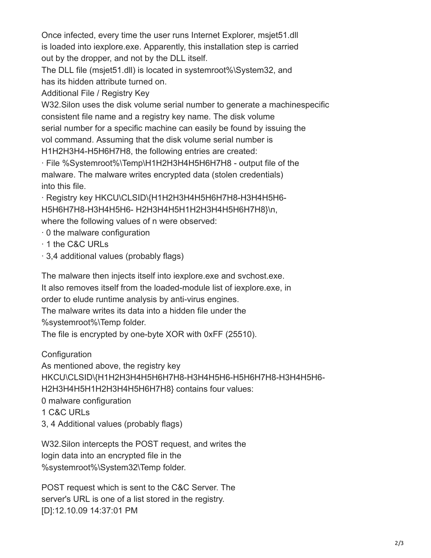Once infected, every time the user runs Internet Explorer, msjet51.dll is loaded into iexplore.exe. Apparently, this installation step is carried out by the dropper, and not by the DLL itself.

The DLL file (msjet51.dll) is located in systemroot%\System32, and has its hidden attribute turned on.

Additional File / Registry Key

W32.Silon uses the disk volume serial number to generate a machinespecific consistent file name and a registry key name. The disk volume serial number for a specific machine can easily be found by issuing the vol command. Assuming that the disk volume serial number is H1H2H3H4-H5H6H7H8, the following entries are created:

· File %Systemroot%\Temp\H1H2H3H4H5H6H7H8 - output file of the malware. The malware writes encrypted data (stolen credentials) into this file.

· Registry key HKCU\CLSID\{H1H2H3H4H5H6H7H8-H3H4H5H6- H5H6H7H8-H3H4H5H6- H2H3H4H5H1H2H3H4H5H6H7H8}\n, where the following values of n were observed:

· 0 the malware configuration

- · 1 the C&C URLs
- · 3,4 additional values (probably flags)

The malware then injects itself into iexplore.exe and svchost.exe. It also removes itself from the loaded-module list of iexplore.exe, in order to elude runtime analysis by anti-virus engines.

The malware writes its data into a hidden file under the

%systemroot%\Temp folder.

The file is encrypted by one-byte XOR with 0xFF (25510).

**Configuration** 

As mentioned above, the registry key

HKCU\CLSID\{H1H2H3H4H5H6H7H8-H3H4H5H6-H5H6H7H8-H3H4H5H6-

H2H3H4H5H1H2H3H4H5H6H7H8} contains four values:

0 malware configuration

- 1 C&C URLs
- 3, 4 Additional values (probably flags)

W32.Silon intercepts the POST request, and writes the login data into an encrypted file in the %systemroot%\System32\Temp folder.

POST request which is sent to the C&C Server. The server's URL is one of a list stored in the registry. [D]:12.10.09 14:37:01 PM